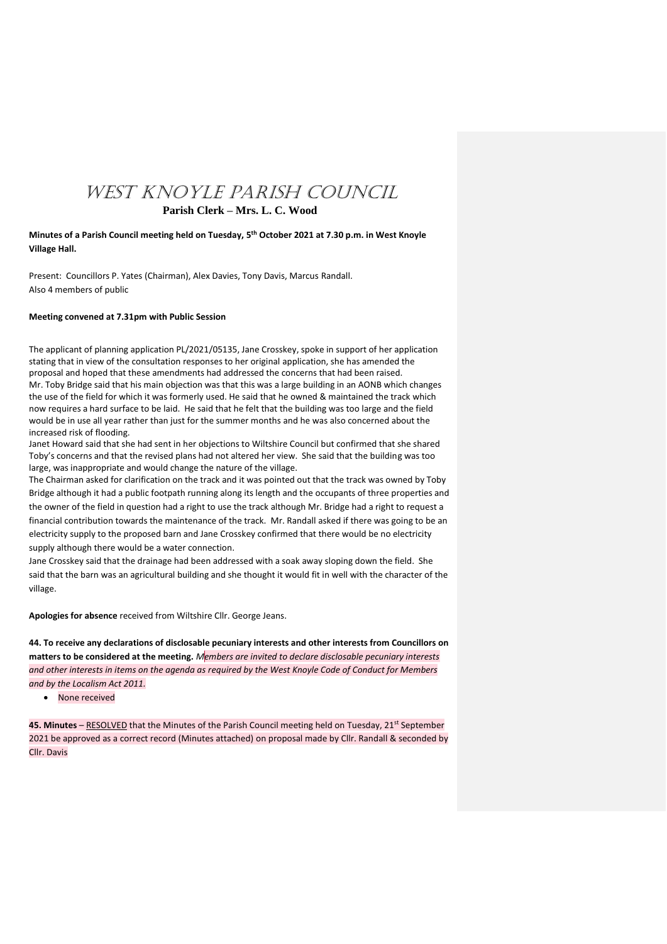# WEST KNOYLE PARISH COUNCIL

# **Parish Clerk – Mrs. L. C. Wood**

**Minutes of a Parish Council meeting held on Tuesday, 5 th October 2021 at 7.30 p.m. in West Knoyle Village Hall.**

Present: Councillors P. Yates (Chairman), Alex Davies, Tony Davis, Marcus Randall. Also 4 members of public

### **Meeting convened at 7.31pm with Public Session**

The applicant of planning application PL/2021/05135, Jane Crosskey, spoke in support of her application stating that in view of the consultation responses to her original application, she has amended the proposal and hoped that these amendments had addressed the concerns that had been raised. Mr. Toby Bridge said that his main objection was that this was a large building in an AONB which changes the use of the field for which it was formerly used. He said that he owned & maintained the track which now requires a hard surface to be laid. He said that he felt that the building was too large and the field would be in use all year rather than just for the summer months and he was also concerned about the increased risk of flooding.

Janet Howard said that she had sent in her objections to Wiltshire Council but confirmed that she shared Toby's concerns and that the revised plans had not altered her view. She said that the building was too large, was inappropriate and would change the nature of the village.

The Chairman asked for clarification on the track and it was pointed out that the track was owned by Toby Bridge although it had a public footpath running along its length and the occupants of three properties and the owner of the field in question had a right to use the track although Mr. Bridge had a right to request a financial contribution towards the maintenance of the track. Mr. Randall asked if there was going to be an electricity supply to the proposed barn and Jane Crosskey confirmed that there would be no electricity supply although there would be a water connection.

Jane Crosskey said that the drainage had been addressed with a soak away sloping down the field. She said that the barn was an agricultural building and she thought it would fit in well with the character of the village.

**Apologies for absence** received from Wiltshire Cllr. George Jeans.

**44. To receive any declarations of disclosable pecuniary interests and other interests from Councillors on matters to be considered at the meeting.** *Members are invited to declare disclosable pecuniary interests and other interests in items on the agenda as required by the West Knoyle Code of Conduct for Members and by the Localism Act 2011.*

• None received

**45. Minutes** – <u>RESOLVED</u> that the Minutes of the Parish Council meeting held on Tuesday, 21st September 2021 be approved as a correct record (Minutes attached) on proposal made by Cllr. Randall & seconded by Cllr. Davis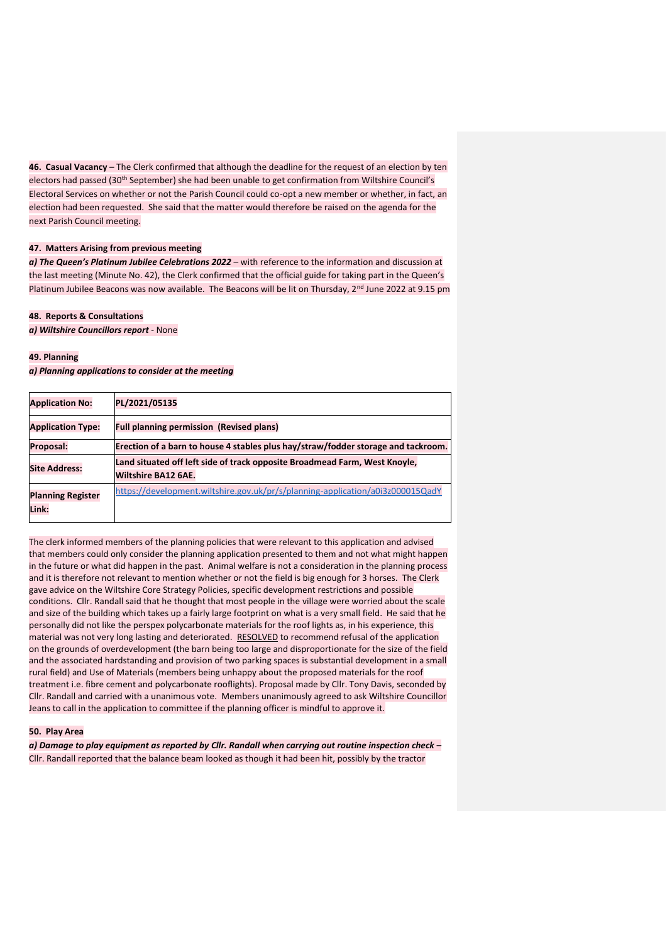**46. Casual Vacancy –** The Clerk confirmed that although the deadline for the request of an election by ten electors had passed (30<sup>th</sup> September) she had been unable to get confirmation from Wiltshire Council's Electoral Services on whether or not the Parish Council could co-opt a new member or whether, in fact, an election had been requested. She said that the matter would therefore be raised on the agenda for the next Parish Council meeting.

#### **47. Matters Arising from previous meeting**

*a) The Queen's Platinum Jubilee Celebrations 2022* – with reference to the information and discussion at the last meeting (Minute No. 42), the Clerk confirmed that the official guide for taking part in the Queen's Platinum Jubilee Beacons was now available. The Beacons will be lit on Thursday,  $2^{nd}$  June 2022 at 9.15 pm

#### **48. Reports & Consultations**

*a) Wiltshire Councillors report* - None

#### **49. Planning**

*a) Planning applications to consider at the meeting*

| <b>Application No:</b>            | PL/2021/05135                                                                                            |
|-----------------------------------|----------------------------------------------------------------------------------------------------------|
| <b>Application Type:</b>          | <b>Full planning permission (Revised plans)</b>                                                          |
| Proposal:                         | Erection of a barn to house 4 stables plus hay/straw/fodder storage and tackroom.                        |
| <b>Site Address:</b>              | Land situated off left side of track opposite Broadmead Farm, West Knoyle,<br><b>Wiltshire BA12 6AE.</b> |
| <b>Planning Register</b><br>Link: | https://development.wiltshire.gov.uk/pr/s/planning-application/a0i3z000015QadY                           |

The clerk informed members of the planning policies that were relevant to this application and advised that members could only consider the planning application presented to them and not what might happen in the future or what did happen in the past. Animal welfare is not a consideration in the planning process and it is therefore not relevant to mention whether or not the field is big enough for 3 horses. The Clerk gave advice on the Wiltshire Core Strategy Policies, specific development restrictions and possible conditions. Cllr. Randall said that he thought that most people in the village were worried about the scale and size of the building which takes up a fairly large footprint on what is a very small field. He said that he personally did not like the perspex polycarbonate materials for the roof lights as, in his experience, this material was not very long lasting and deteriorated. RESOLVED to recommend refusal of the application on the grounds of overdevelopment (the barn being too large and disproportionate for the size of the field and the associated hardstanding and provision of two parking spaces is substantial development in a small rural field) and Use of Materials (members being unhappy about the proposed materials for the roof treatment i.e. fibre cement and polycarbonate rooflights). Proposal made by Cllr. Tony Davis, seconded by Cllr. Randall and carried with a unanimous vote. Members unanimously agreed to ask Wiltshire Councillor Jeans to call in the application to committee if the planning officer is mindful to approve it.

## **50. Play Area**

*a) Damage to play equipment as reported by Cllr. Randall when carrying out routine inspection check* – Cllr. Randall reported that the balance beam looked as though it had been hit, possibly by the tractor